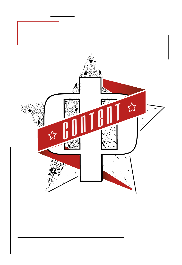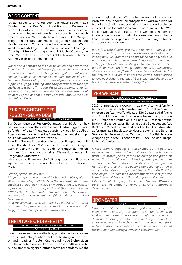## **WE GO CONTENT**

An der Seeseite erwartet euch ein neuer Space – das ConTent – ein großes Zelt mit viel Platz zum Denken, Erfahren, Diskutieren, Streiten und System verändern, alles was uns Fusionist:innen bei unserem Streben nach einer besseren Welt weiterbringen kann. Das Morgenprogramm bereitet euch mit richtig gutem Hippieshit auf das Tagwerk vor: Yoga, Tanz und Körperarbeit zum Warmwerden und Abfliegen. Podiumsdiskussionen, Lesungen, Vorträge, Filmvorführungen und kritische Comedy zu einer Vielzahl von aus unserer Sicht relevanten Themen. Kommt vorbei und denkt mit uns!

*ConTent is a new space that we've developed next to the lake. It's a large tent with lots of space to think, experience, discuss, debate and change the system – all these things that we Fusionists aspire to make the world a better place. The morning programme offers some real good hippie shit: yoga, dancing, and body exercises to turn off the head and kick off the day. Panel discussions, readings, presentations, film showings and critical comedy about an array of topics that we think are relevant. Come over and think with us!*

## **ZUR GESCHICHTE DES FUSION-GELÄNDES!**  (DO. 13.30 – 15.00 / DE WITH EN TRANS.)

Zur Geschichte des Fusion-Geländes! Vor 20 Jahren haben wir hier einen alten, verlassenen Militärflugplatz vorgefunden. Wie der Platz jetzt aussieht, wisst ihr ja selbst. Aber was war vorher hier los? Wer hat die Landebahn gebaut? Wie waren die ersten Parties?

Eine Einführung in die Geschichte des Flugplatzes, mit einem Rückblick von 1918 über die Nazi-Zeit bis zur Gegenwart. Mit einem kurzen Film zu den Anfängen der Fusion und des Kulturkosmos und einer Diskussionsrunde mit Fragen und Antworten.

Mit dabei: die Filmcrew, ein Zeitzeuge der damaligen sowjetischen Streitkräfte und Menschen vom Kulturkosmos.

#### *History of the Fusion Site!*

*20 years ago we found an old, abonded military aiport. What was here before? Who built the runway? What were the first parties like? We give an introduction to the history of the airport, a retrospective of the years between 1918 to the Nazi-time until now. We show a short documentary about the beginnings of Fusion Festival and Kulturkosmos.*

*Join the session with Questions & Answers afterwards and meet the film-crew, a witness from the soviet military forces and people from Kulturkosmos.*

#### **THE POWER OF DIVERSITY**  HOW TO CREATE INCLUSIVE NETWORKS (DO. 15.30 – 16.30 / EN)

Es ist bewiesen, dass vielfältige, pluralistische Gruppen stärker und erfolgreicher bei Entscheidungen, Innovation und kreativer Problemlösung sind. Neue Sichtweisen und Herangehensweisen kennen zu lernen, hilft uns nicht nur bei unseren eigenen Aufgaben weiter sondern, macht

uns auch glücklicher. Warum haben wir trotz allem ein Problem, das "andere" zu akzeptieren? Warum bilden wir trotzdem ständig homogene Gruppen in allen Bereichen unserer Gesellschaft? Was sind unsere Vorurteile? Was ist der Schlüssel zur Kultur einer wertschätzenden inkludierenden Gemeinschaft, die niemanden ausschließt? Lasst uns diese Fragen untersuchen, neue Fragen finden und gemeinsam lernen.

*It is a fact that diverse groups are better at making decisions, innovating and solving problems creatively. Introducing new viewpoints and approaches not only helps us to advance in whatever we are doing, but it also makes us happier. So why do we struggle to accept the "other"? Why do we insist on forming homogenous groups across all sectors of society? What are our biases? And what is the key to a culture that creates caring communities where everyone is included? Let's examine these questions, raise new ones and learn together.*

## **YES WE BAN!**

MAKING NUCLEAR WEAPONS ILLEGAL (DO. 22.00 – 22.45 / EN MIT DE ÜBERS.)

2015 könnte das Jahr werden, in dem wir Atomwaffen ächten. Idealistische Technokraten aus 107 Staaten revolutionieren den Atomwaffendiskurs. Die Debatte wird Risiko und Auswirkungen des Atomkriegs beleuchten, und wie die "Humanitäre Initiative" die Handvoll Staaten herausfordert, die unser aller Sicherheit aufs Spiel setzen. Aus Berlin und Venedig kommend, war Leo Axt Abrüstungsbeauftragter des Inselstaates Nauru, bevor er die Berliner Sektion der International Campaign to Abolish Nuclear Weapons gründete. Er arbeitet bei ICAN und der Europäischen Kommission.

*A revolution is ongoing, and 2015 may be the year we made nuclear weapons illegal. Committed technocrats from 107 states joined forces to change the game on nukes. The talk will cover risk and effects of nuclear war, and how the "Humanitarian Initiative" is challenging the handful of states that are putting our security at risk in a misguided attempt to protect theirs. From Berlin & Venice origin, Leo Axt was disarmament adviser for the island state of Nauru at the UN before co-founding the International Campaign to Abolish Nuclear Weapons Berlin-branch. Today he works at ICAN and European Commission.*

## **IRONEATER**

#### (DO. 23.00 – 00.30 / EN)

*Filmmaker Shaheen Dill-Riaz follows poverty-stricken farmers who try to escape the annual famine that strikes their home in northern Bangladesh. They trade in their plows for a blowtorch and begin to work as ship- wreckers, risking their health and their lives for a pittance. Impressive pictures with a very human view at the people. Followed by a Q&A with the filmmaker.*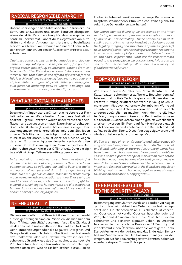#### **RADICAL RESPONSIBLE ANARCHY**  AN EXPERIENTIAL WORKSHOP (FR. 12.45 – 14.30 / EN MIT DE ÜBERS.)

Unsere überwiegend kapitalistische Kultur trainiert uns darin, uns anzupassen und unser Zentrum abzugeben. Wenn du aktiv Verantwortung für dein energetisches Zentrum übernimmst, kannst du in Gegenwart von Autoritäten und deren Aktionen zentriert und unbeeinflusst bleiben. Wir lernen, wie wir auf einer inneren Ebene in Aktion treten können, um den Einfluss externer Kräfte abzuschwächen!

*Capitalist culture trains us to be adaptive and give our centers away. Taking active responsibility for your energetic center powerfully counteracts actions from external authorities. We will learn how to take actions at an internal level that diminish the effects of external forces. This is a skill-building session: by learning to put your energetic center onto your physical center you bring your own personal authority back to where it belongs and where no external authority can steal it from you.*

#### **WHAT ARE DIGITAL HUMAN RIGHTS …**  AND WHY DO WE NEED TO CARE? (FR. 15.00 – 15.45 / EN MIT DE ÜBERS.)

In seinen Anfängen war das Internet eine Utopie der Freiheit voller neuer Möglichkeiten. Aber diese Freiheit ist bedroht - große Konzerne wollen unser Verhalten beeinflussen und aus unseren privaten Daten Kapital schlagen. Staatliche (Geheim-)Dienste haben eine riesige Überwachungsmaschinerie erschaffen, mit dem Ziel jeden unserer Schritte nachzuverfolgen und all unsere Kommunikation abzuhören. Das ist einer der Gründe, wegen derer wir für unsere digitalen Menschenrechte kämpfen müssen. Dafür, dass im digitalen Raum die gleichen Menschenrechte gelten wie in der Offline-Welt. Denn die digitale Welt ist längst Teil unseres Alltags geworden.

*In its beginning the internet was a freedom utopia full of new possibilities. But this freedom is threatened, Big companies seek to influence our online lives and make money out of our personal data. State agencies of all kinds built a huge surveillance machine to track every move we make and conversation we have. That's why we need to care about digital human rights and to fight for a world in which digital human rights are like traditional human rights – because the digital world has long since become part of our everyday lives.*

## **NET-NEUTRALITY**  THE FIGHT FOR UNITY AND FREEDOM (FR. 16.00 – 16.45 / EN MIT DE ÜBERS.)

Die enorme Vielfalt und Kreativität des Internet beruht auf einigen wenigen simplen Prinzipien, die man mit dem Begriff "Netzneutralität" zusammenfasst. Das Ziel dabei ist das bewusste Ausschalten von Kontrolle im Netzwerk. Denn Entscheidungen über die Legalität, Integrität und Dringlichkeit einer Nachricht überlässt das Netzwerk den Endknoten, also uns. Netzneutralität ist der entscheidende Grund, wieso das Internet heute als neutrale Plattform für zukünftige Innovationen und soziale Experimente offen ist. Welche Risiken drohen aktuell, diese

#### Freiheit im Internet dem Gewinnstreben großer Konzerne zu opfern? Was können wir tun, um diese Freiheit global für zukünftige Generationen zu erhalten?

*The unprecedented diversity we experience on the internet today is based on a few simple principles common*ly known as "net neutrality". These principles aim at di*sabling control in the network and let all decisions about the legality, integrity and importance of a message be left to us, the endpoints. Net neutrality is the main reason the internet is a neutral platform open for future innovation and social experiments. What are the recent threats posed to this principle by big corporations? How can we assure that net neutrality will remain as a pillar of the global internet's future?*

## **COPYRIGHT REFORM**

FIGHT FOR YOUR RIGHT TO REMIX (FR. 17.00 – 17.45 / DE WITH EN TRANS.)

Wir leben in einem Zeitalter des Remix. Kreativität und Kultur bauten schon immer auf bereits Bestehendem auf. Internet und digitale Technologien ermöglichen aber die kreative Nutzung existierender Werke in völlig neuen Dimensionen: Nie zuvor war es so vielen möglich, Werke auf so unterschiedliche Arten zu verändern und so einfach anderen zugänglich zu machen. Mehr denn je gilt heute: Everything is a remix. Remix und Remixkultur müssen als zentrale Ausdrucksform einer digitalen Gesellschaft anerkannt werden. Ein Recht auf Remix erfordert jedoch auch Änderungen des Urheberrechts in Deutschland und auf europäischer Ebene. Dieser Vortrag zeigt, warum und wie das Urheberrecht reformiert gehört.

*We live in an age of remix. Creativity and culture have always drawn from previous works, but with the Internet and digital technologies, the creative re-use of works has been taken to a whole new level. More people are able to edit and share a greater range of works than ever before. More than ever, it has become clear that "everything is a remix!" Remix and remix culture need to be recognized as important forms of expression in the digital society. Establishing a right to remix, however, requires some changes to European and national copyright law.*

## **THE BEGINNERS GUIDE TO THE SECURITY GALAXY**  STOP TALKING … LET'S PRACTICE! (FR. 18.00 – 18.45 / EN MIT DE ÜBERS.)

In den vergangenen Jahren wurde uns deutlich vor Augen geführt, dass wir zahlreichen Gefahren im Netz ausgesetzt sind. Ein Mindestmaß an IT-Sicherheit ist essentiell. Oder sogar notwendig. Oder gar überlebenswichtig! Wir gehen mit dir zusammen auf die Reise, hin zu einem schöneren und sicheren digitalen Leben. In unserem Talk vermitteln wir euch die Basics der IT Security und ihr bekommt einen Überblick über die wichtigsten Tools. Danach lernen wir den Anfang und das Ende jeder Sicherheitsmaßnahme kennen: Den Passwortmanager. Für diejenigen, die wir für Security begeistern konnten, haben wir ebenfalls ein paar Tips und Infos parat.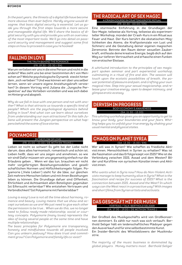In the past years, the threats of a digital life have become *more obvious than ever before. Hardly anyone would disagree, that basic digital security is essential. Let us guide you through the first steps towards a more secure and manageable digital life. We'll share the basics of digital security with you and provide you with an overview of the most important tools. We'll go into detail on password security and management and suggest some first steps on how to proceed in case you're hooked!*

## **FALLING IN LOVE**

THE TRUTH BEHIND THE ROMANCE (FR. 19.30 – 20.30 / EN)

Warum verlieben wir uns in die eine Person und nicht in die andere? Was zieht uns bei einer bestimmten Art von Menschen an? Welche psychologische Dynamik steckt hinter dem "sich verlieben"? Und was können wir über uns selber lernen, wenn wir unsere eigene Anziehungskraft verstehen? In diesem Vortrag wird Juliana die "Jungsche Perspektive" auf das Verlieben vorstellen und was sich dabei im Hintergrund abspielt.

*Why do we fall in love with one person and not with another? What is that attracts us towards a specific kind of people? Which are the psychological dynamics behind falling in love? And what can we learn about ourselves from understanding our own attractions? In this talk Juliana will present the Jungian perspective on what happens behind the scene of love stories.*

## **POLYAMORIE**

IN THE FLOW OF LOVE (FR. 21.00 – 22.00 / DE WITH EN TRANS.)

Lieben ist nicht so schwer! Es geht bei der Liebe nicht darum, dass alles harmonisch, romantisch und schön ist. Lieben heißt, dass wir uns zeigen und annehmen, so wie wir sind! Dafür müssen wir uns gegenseitig einfach nur die Erlaubnis geben … Wenn wir das tun, brauchen wir nicht mehr vorgefertigten Beziehungsmodellen und gesellschaftlichen Normen und Höflichkeitsregeln folgen. Polyamorie ("Viele Lieben") steht für die Idee, zur gleichen Zeit mehrere Menschen lieben und mit ihnen Beziehungen leben zu können. Die Grundlage dafuer sind Offenheit, Ehrlichkeit und Achtsamkeit allen Beteiligten gegenüber. Ist Eifersucht verlernbar? Wie entstehen Vertrauen und Verbindlichkeit? Ist Polyamorie mit Familie lebbar?

*Loving is easy! Love is not all the time about harmony, romance and beauty. Loving means that we show and accept ourselves as we are! We just need to give each other the permission to be true... When we do this, we no longer need to follow ready-made relationship, social or courtesy concepts. Polyamorie (many loves) represents the idea of loving several people at the same time and have multiple relationships.* 

*The basic principles for Polyamorie are transparency, honesty and mindfulness towards all people involved. Can you unlearn jealousy? How does trust and commitment grow? Can Polyamorie and family life co-exist?*

#### **THE RADICAL ART OF SEX MAGIC**  A CRASH COURSE IN CRAFTING EROTIC RITUAL (FR. 22.30 – 00.00 / EN)

Eine stürmische Einführung in die Grundlagen der Sex-Magie; teilweise als Vortrag, teilweise als experimenteller Workshop, mündet der Crash-Kurs in ein Ritual aus Feuer und Haut. Der Kurs berührt die ekstatischen Möglichkeiten des Atems, die Kraftpotenziale von Lust und Schmerz und die Gestaltung deiner eigenen magischen Zeremonie. Betrete den Raum deiner sexuellen Zauberkraft, entfessle deine kreative Energie, begib dich auf den Weg zur tieferen Vertrautheit und erhasche einen Funken von erotischer Ekstase.

*A whirlwind introduction to the principles of sex magic; part spoken seminar and part experiential workshop, culminating in a ritual of fire and skin. The session will touch upon the ecstatic possibilities of breath, the power potential of pleasure and pain, and crafting your own magical rites. Step into your sexual magicianship, and release your creative energy, open to deeper intimacy, and glimpse erotic ecstasy.* 

#### **DERVISH IN PROGRESS**  BODY ECONOMY & AWARENESS (SA. 11.30 – 13.00)

*This whirling workshop gives you an opportunity to get to know your body, your boundaries and your fears. Whirling helps you to unfold your true energy by shaking your usual mental and physical states.* 

#### **CHAOS ON PLANET SYRIA**  (SA. 13.30 – 15.00 / EN)

Wer will was in Syrien? Wie schaffen es friedliche Aktivist:innen, Menschlichkeit in Syrien zu erhalten? Was ist die Faszination und das Erfolgsrezept von ISIS? Wie ist die Verbindung zwischen ISIS, Assad und dem Westen? Bilder und Kurzfilme von syrischen Künstler:innen und Aktivist:innen.

*Who wants what in Syria now? How do Non-Violent Activists manage to keep humanity alive in Syria? What is the fascination and recipe for success of ISIS? What is the connection between ISIS, Assad and the West? In which ways can the West react in a proactive way? With images and short films from Syrian artists and activists.*



Der Großteil des Musikgeschäfts wird von Großkonzernen dominiert. Es zählt nur noch was sich verkauft. Berthold Seliger hält ein leidenschaftliches Plädoyer gegen den Ausverkauf und für eine selbstbestimmte Kunst. Ein Insider-Bericht des Whistleblowers der Musikindustrie.

*The majority of the music business is dominated by global players . Money matters most . Berthold Seliger*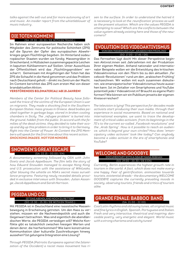*talks against the sell-out and for more autonomy of art and music. An insider report from the whistleblower of music industry .* 

#### **DIE TOTEN KOMMEN!**  (SA. 19.30 – 20.30 / DE WITH EN TRANS.)

Im Rahmen einer europaweiten Recherche haben sich Mitglieder des Zentrums für politische Schönheit (ZPS) auf die Spuren der Opfer des europäischen Abwehrkrieges gegen Flüchtlinge begeben. Im Hinterland südeuropäischer Staaten wurden sie fündig: Massengräber in Griechenland, in Müllsäcken zusammengepackte Leichen in kaputten Kühlkammern auf Sizilien. Unter Ausschluss der Öffentlichkeit wird das "Flüchtlingsproblem" verscharrt. Gemeinsam mit Angehörigen der Toten hat das ZPS die Schaufel in die Hand genommen und das Problem nach Deutschland geholt – direkt ins Zentrum der Macht. Im Content berichtet das ZPS zum ersten Mal von dieser brandaktuellen Aktion.

#### **VERSTÖRENDES BILDMATERIAL! AB 18 JAHREN!**

*Members of the Center for Political Beauty have followed the trace of the victims of the European Union´s war on migrants. They made a shocking find in the Southern European States: mass graves in Greece, dead bodies packed together in garbage bags, stored in broken cooling chambers in Sicily. The "refugee problem" is buried into the ground, hidden from the public. In accord with the families of the dead victims, they decided to take their scoop and dig up this problem in order to bring it to Germany. Right into the Center of Power. At Content the ZPS Members will speak for the first time about this recent action. SHOCKING IMAGES. NOT FOR MINORS.*

#### **SNOWDEN'S GREAT ESCAPE**  (SA. 22.15 – 00.00 / EN)

*A documentary screening followed by Q&A with John Goetz and Jacob Appelbaum. The film tells the story of how Edward Snowden managed to escape Hong Kong and U.S. prosecution with the assistance of WikiLeaks, after blowing the whistle on NSA's secret mass surveillance programs. Featuring newly revealed details provided in exclusive interviews with Snowden, Julian Assange, Jacob Appelbaum and Sarah Harrison.*

## **PEGIDA UND CO.**

IST DAS ABENDLAND NOCH ZU RETTEN? (SO. 13.30 – 15.30 / DE WITH EN TRANS.)

Mit PEGIDA ist in Deutschland eine rassistische Massenbewegung in Erscheinung getreten. Um den Hass zu verstehen, müssen wir die Nachwendepolitik und auch die Gegenwart betrachten. Was sind eigentlich die abendländischen Werte, die PEGIDA verteidigen will? Welche Konflikte gibt es tatsächlich zwischen hiesigen Werten und denen derer, die hierherkommen? Wie kann konstruktive Kommunikation über kulturelle Zuschreibungen hinweg aussehen? Ist gelungene Integration eine Lösung?

*Through PEGIDA (Patriotic Europeans against the Islamization of the Occident) a racist mass movement has ri-* *sen to the surface. In order to understand the hatred it is necessary to look at the 'reunification' process as well as the present situation. Which are the values PEGIDA is attempting to save? Which are the conflicts between the value system already existing here and those of the newcomers?*

#### **EVOLUTION DES VIDEOAKTIVISMUS**  VON DEN 70IGERN BIS ZUM "ARABISCHEN FRÜHLING" (SO. 17.00 – 17.45 / DE)

Das Fernsehen lügt doch! Mit dieser Perspektive beginnen Aktivist:innen seit Jahrzehnten mit der Produktion Ihrer eigenen Medien. Anhand nationaler und internationaler Beispiele wollen wir die Entwicklung des kritischen Videoaktivismus von den 70ern bis zu den aktuellen "Facebook-Revolutionen" rund um den "arabischen Frühling" nachzeichnen. Wir wollen mit euch zusammen diskutieren, wie emanzipatorischer Videoaktivismus heute aussehen kann. Ist im Zeitalter von Smartphones und YouTube potentiell jede:r Videoaktivist:in? Braucht es eigene Plattformen? Wie können wir ein Publikum jenseits der eigenen Kreise erreichen?

*The television is lying! This perspective for decades made activists start producing their own media, through their experience in social movements. Based on national and international examples, we want to trace the development of critical video activism, from its beginnings in the 70's to the current so-called "Facebook revolutions" and the "Arab Spring". How is it possible to reach an audience, which is beyond your own circles? How does "emancipatory video activism" look like today? Can anybody become a video activist in the era of smartphones and YouTube?* 

#### **WELCOME AND GOODBYE**  DOCUMENTARY WITH A Q&A BY NANA REBHAN (SO. 19.00 – 20.30 / DE & EN)

*Currently, Berlin experiences the highest growth rate in tourism in the world. A fact, which does not make everyone happy. Fear of gentrification, animosities towards tourists, existential dreads - the documentary WELCOME GOODBYE captures the currently prevailing moods in society, observing tourists, friends and critics of tourism alike.* 

#### **GRANDE FINALE: BABBOO BAND**  (SA. 21.00 – 22.00)

*Cool Latin rhythms and old swing tunes, all original music and fine lyrics in English, Spanish, Portuguese and Italian. Fresh and very interactive, theatrical and inspiring; danceable poetry, very energetic and elegant. World music with a strong charisma and catchy tunes!*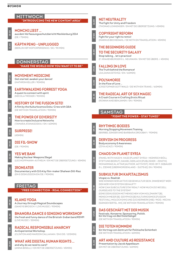#### MITTWOCH **"INTRODUCING THE NEW CONTENT AREA"**

**20.00**

**MONCHI LIEST …** aus dem Verfassungsschutzbericht Mecklenburg 2014 (DE / 75MIN)



**09.30**

**11.30**

**13.30**

**15.30**

**20.00**

**22.00**

**23.00**

## **KÄPTN PENG –UNPLUGGED**

(BERLIN HIP HOP EXPERIENCE / DE / 90 MIN)



**MOVEMENT MEDICINE** Get started, awaken your dance! (KATHRIN KELLER / 90MIN)

**EARTHWALKING FORREST YOGA** A quest to connect with spirit (NICOLA TRÖGER / 90MIN)

**HISTORY OF THE FUSION SITE!** A film by the Kulturkosmos Doku-Crew with Q&A (DE WITH EN TRANSLATION / 90MIN)

**THE POWER OF DIVERSITY** How to create Inclusive Networks (TAMARA ATANASOSKA / EN / 60MIN)



**DIE FIL-SHOW**

(DE / 90MIN)

**YES WE BAN!** Making Nuclear Weapons Illegal (LEO HOFFMANN-AXTHELM / EN MIT DE ÜBERSETZUNG / 45MIN)

**IRONEATER** Documentary with Q & A by film-maker Shaheen Dill-Riaz (EN & DISKUSSION EN/DE / 90MIN)

#### FREITAG **"FREE CONNECTION - REAL CONNECTION"**

**KLANG YOGA** A Journey through Magical Soundscapes (SANIYE BROSCH / LIVE MUSIC / 90MIN)

**BHANGRA DANCE & SINGING WORKSHOP** the fresh and funny dance of the Bristish-Indian band RSVP! (LIVE MUSIC / 50MIN)



**15.00**

**09.30**

**11.30**

**RADICAL RESPONSIBLE ANARCHY**

An Experiential Workshop. (CLINTON AND MARION CALLAHAN / EN & DE / 105MIN)

**WHAT ARE DIGITAL HUMAN RIGHTS …** and why do we need to care? (ANNA BISELLI / EN MIT DE ÜBERSETZUNG / 45MIN)

## **NET NEUTRALITY**

**16.00**

**17.00**

**18.00**

**19.30**

**21.00**

The Fight for Unity and Freedom (THOMAS LOHNINGER / EN MIT DE ÜBERSETZUNG / 45MIN)

## **COPYRIGHT REFORM**

Fight for your right to remix! (MARKUS BECKEDAHL / DE WITH EN TRANSLATION / 45MIN)

## **THE BEGINNERS GUIDE**

#### **TO THE SECURITY GALAXY** Stop talking … let's practice!

(F. KRAKENBÜRGER & L. NEUMANN / EN MIT DE ÜBERS. / 45MIN)

#### **FALLING IN LOVE**

The Truth behind the Romance! (JULIANA ESTEVEZ / EN / 60MIN)

## **POLYAMORIE**

In the Flow of Love … (CRISTOPHER GOTTWALD / DE WITH EN TRANS. / 60MIN)

**22.30**

#### **THE RADICAL ART OF SEX MAGIC** A Crash Course in Crafting Erotic Ritual (ROWAN AND BENJAMIN / EN / 90MIN)

## **SAMSTAG**

**"FIGHT THE POWER – STAY TUNED"**

## **RHYTHMIC BODIES**

Morning Stopping Movement Training (BÄRBEL SINGER AND BARBARA DROUBAY / 90MIN)

## **DERVISH IN PROGRESS**

Body economy & Awareness (ZIYA AZAZI / 90MIN)

## **CHAOS ON PLANET SYRIA**

(PANEL WITH HAID N. HAID [PLANET SYRIA + HEINRICH BÖLL STIFTUNG BEIRUT], DANIEL GERLACH [PUBLISHER – ZENITH], MOHAMMAD AL ATTAR [AUTHOR, ACTIVIST], MOD. BY F. GEBAUER & L. ZIEMKE [ÜBERMORGENLAND – SUITE42], EN / 90MIN)

#### **SUBKULTUR IM KAPITALISMUS** Utopie vs. Realität

WIE KÖNNEN WIR AKTIVE GEGENKULTUR SEIN, INWIEWEIT WER-DEN WIR VOM SYSTEM GEKAUFT? *HOW CAN SUBCULTURE STAY REAL? HOW MUCH DO WE SELL OURSELVES TO THE SYSTEM?* (EINE DISKUSSION MIT MENSCHEN VOM HOLZMARKT [B], MENSCH MEIER [B], SISYPHOS [B] KULTURKOSMOS [FUSION FESTIVAL], MOLOCH [HH] UND ZUCKERWERK [HB] / MOD.: MICHA [GÄNGEVIERTEL, HH], DE WITH EN TRANSLATION / 90MIN)

## **DAS GESCHÄFT MIT DER MUSIK**

Festivals, Konzerne, Sponsoring, Politik. Ein Vortrag von Berthold Seliger (DE WITH EN TRANSLATION / 90MIN)

## **DIE TOTEN KOMMEN!**

Ein Vortrag vom Zentrum für Politische Schönheit (DE WITH EN TRANSLATION / 60MIN)

**ART AND CULTURE AS RESISTANCE**

Presentation by Jacob Appelbaum (EN MIT DE ÜBERSETZUNG / 60MIN)

**11.30**

**13.30**

**15.30**

**17.30**

**19.30**

**21.00**

**09.30**